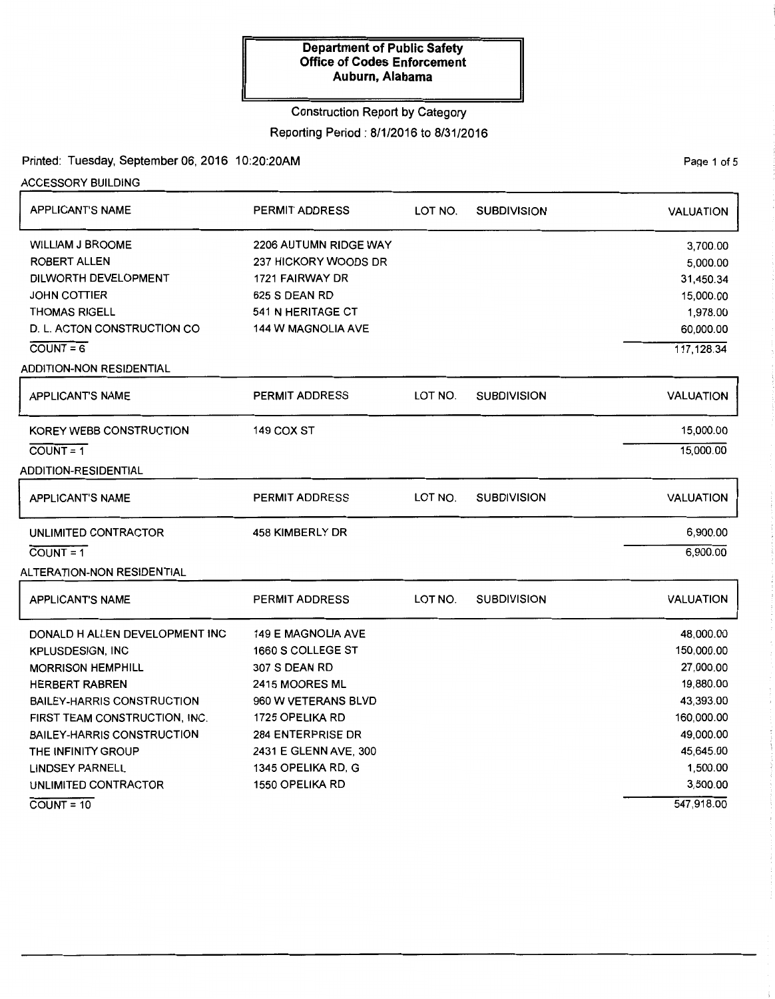### Construction Report by Category

Reporting Period: 8/1/2016 to 8/31/2016

## Printed: Tuesday, September 06, 2016 10:20:20AM

ACCESSORY BUILDING

| <b>APPLICANT'S NAME</b>           | PERMIT ADDRESS            | LOT NO. | <b>SUBDIVISION</b> | <b>VALUATION</b> |
|-----------------------------------|---------------------------|---------|--------------------|------------------|
| <b>WILLIAM J BROOME</b>           | 2206 AUTUMN RIDGE WAY     |         |                    | 3,700.00         |
| <b>ROBERT ALLEN</b>               | 237 HICKORY WOODS DR      |         |                    | 5,000.00         |
| DILWORTH DEVELOPMENT              | 1721 FAIRWAY DR           |         |                    | 31,450.34        |
| <b>JOHN COTTIER</b>               | 625 S DEAN RD             |         |                    | 15,000.00        |
| <b>THOMAS RIGELL</b>              | 541 N HERITAGE CT         |         |                    | 1,978.00         |
| D. L. ACTON CONSTRUCTION CO       | 144 W MAGNOLIA AVE        |         |                    | 60,000.00        |
| $COUNT = 6$                       |                           |         |                    | 117,128.34       |
| ADDITION-NON RESIDENTIAL          |                           |         |                    |                  |
| APPLICANT'S NAME                  | <b>PERMIT ADDRESS</b>     | LOT NO. | <b>SUBDIVISION</b> | <b>VALUATION</b> |
| KOREY WEBB CONSTRUCTION           | 149 COX ST                |         |                    | 15,000.00        |
| $COUNT = 1$                       |                           |         |                    | 15,000.00        |
| <b>ADDITION-RESIDENTIAL</b>       |                           |         |                    |                  |
| <b>APPLICANT'S NAME</b>           | <b>PERMIT ADDRESS</b>     | LOT NO. | <b>SUBDIVISION</b> | <b>VALUATION</b> |
| UNLIMITED CONTRACTOR              | 458 KIMBERLY DR           |         |                    | 6,900.00         |
| $\overline{COUNT} = 1$            |                           |         |                    | 6,900.00         |
| ALTERATION-NON RESIDENTIAL        |                           |         |                    |                  |
| <b>APPLICANT'S NAME</b>           | <b>PERMIT ADDRESS</b>     | LOT NO. | <b>SUBDIVISION</b> | <b>VALUATION</b> |
| DONALD H ALLEN DEVELOPMENT INC    | <b>149 E MAGNOLIA AVE</b> |         |                    | 48,000.00        |
| <b>KPLUSDESIGN, INC</b>           | 1660 S COLLEGE ST         |         |                    | 150,000.00       |
| <b>MORRISON HEMPHILL</b>          | <b>307 S DEAN RD</b>      |         |                    | 27,000.00        |
| <b>HERBERT RABREN</b>             | <b>2415 MOORES ML</b>     |         |                    | 19,880.00        |
| <b>BAILEY-HARRIS CONSTRUCTION</b> | 960 W VETERANS BLVD       |         |                    | 43,393.00        |
| FIRST TEAM CONSTRUCTION, INC.     | 1725 OPELIKA RD           |         |                    | 160,000.00       |
| <b>BAILEY-HARRIS CONSTRUCTION</b> | <b>284 ENTERPRISE DR</b>  |         |                    | 49,000.00        |
| THE INFINITY GROUP                | 2431 E GLENN AVE, 300     |         |                    | 45,645.00        |
| <b>LINDSEY PARNELL</b>            | 1345 OPELIKA RD, G        |         |                    | 1,500.00         |
| UNLIMITED CONTRACTOR              | 1550 OPELIKA RD           |         |                    | 3,500.00         |
| $COUNT = 10$                      |                           |         |                    | 547,918.00       |

PaQe 1 of 5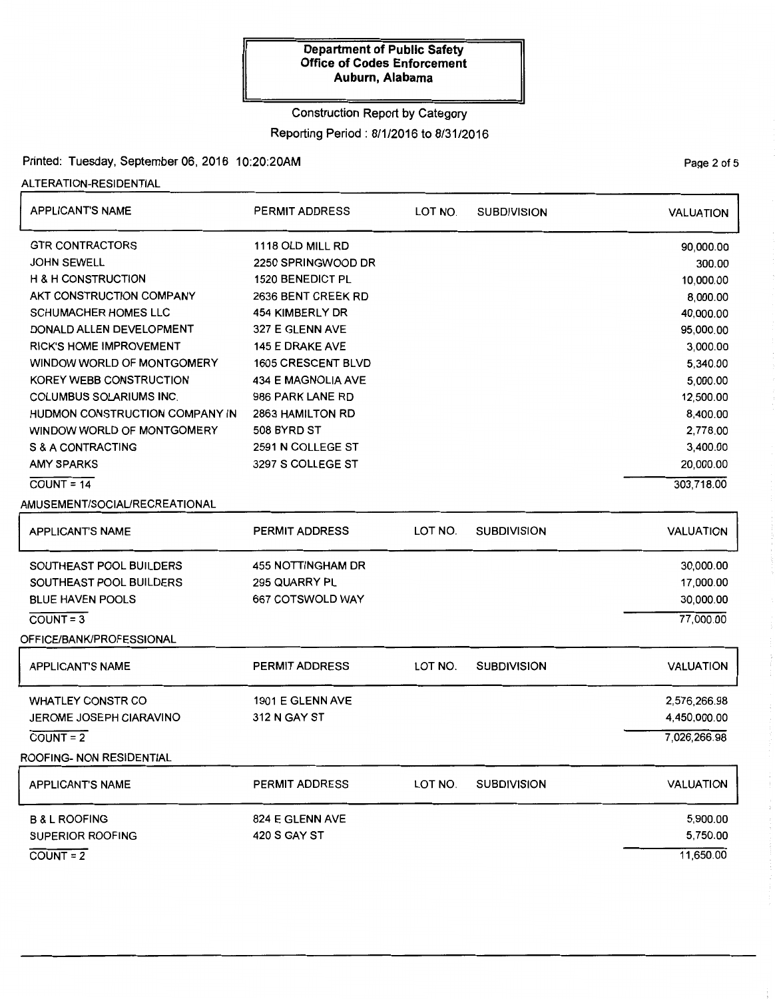# Construction Report by Category

## Reporting Period: 8/1/2016 to 8/31/2016

### Printed: Tuesday, September 06, 2016 10:20:20AM Page 2 of 5

ALTERATION-RESIDENTIAL

| <b>APPLICANT'S NAME</b>        | <b>PERMIT ADDRESS</b>   | LOT NO. | <b>SUBDIVISION</b> | <b>VALUATION</b> |
|--------------------------------|-------------------------|---------|--------------------|------------------|
| <b>GTR CONTRACTORS</b>         | 1118 OLD MILL RD        |         |                    | 90,000.00        |
| <b>JOHN SEWELL</b>             | 2250 SPRINGWOOD DR      |         |                    | 300.00           |
| <b>H &amp; H CONSTRUCTION</b>  | <b>1520 BENEDICT PL</b> |         |                    | 10,000.00        |
| AKT CONSTRUCTION COMPANY       | 2636 BENT CREEK RD      |         |                    | 8,000.00         |
| <b>SCHUMACHER HOMES LLC</b>    | 454 KIMBERLY DR         |         |                    | 40,000.00        |
| DONALD ALLEN DEVELOPMENT       | 327 E GLENN AVE         |         |                    | 95,000.00        |
| <b>RICK'S HOME IMPROVEMENT</b> | 145 E DRAKE AVE         |         |                    | 3,000.00         |
| WINDOW WORLD OF MONTGOMERY     | 1605 CRESCENT BLVD      |         |                    | 5,340.00         |
| KOREY WEBB CONSTRUCTION        | 434 E MAGNOLIA AVE      |         |                    | 5,000.00         |
| COLUMBUS SOLARIUMS INC.        | 986 PARK LANE RD        |         |                    | 12,500.00        |
| HUDMON CONSTRUCTION COMPANY IN | 2863 HAMILTON RD        |         |                    | 8,400.00         |
| WINDOW WORLD OF MONTGOMERY     | 508 BYRD ST             |         |                    | 2,778.00         |
| S & A CONTRACTING              | 2591 N COLLEGE ST       |         |                    | 3,400.00         |
| <b>AMY SPARKS</b>              | 3297 S COLLEGE ST       |         |                    | 20,000.00        |
| $COUNT = 14$                   |                         |         |                    | 303,718.00       |
| AMUSEMENT/SOCIAL/RECREATIONAL  |                         |         |                    |                  |
| <b>APPLICANT'S NAME</b>        | <b>PERMIT ADDRESS</b>   | LOT NO. | <b>SUBDIVISION</b> | <b>VALUATION</b> |
| SOUTHEAST POOL BUILDERS        | 455 NOTTINGHAM DR       |         |                    | 30,000.00        |
| SOUTHEAST POOL BUILDERS        | 295 QUARRY PL           |         |                    | 17,000.00        |
| <b>BLUE HAVEN POOLS</b>        | 667 COTSWOLD WAY        |         |                    | 30,000.00        |
| $COUNT = 3$                    |                         |         |                    | 77,000.00        |
| OFFICE/BANK/PROFESSIONAL       |                         |         |                    |                  |
| <b>APPLICANT'S NAME</b>        | <b>PERMIT ADDRESS</b>   | LOT NO. | <b>SUBDIVISION</b> | <b>VALUATION</b> |
| <b>WHATLEY CONSTR CO</b>       | 1901 E GLENN AVE        |         |                    | 2,576,266.98     |
| JEROME JOSEPH CIARAVINO        | 312 N GAY ST            |         |                    | 4,450,000.00     |
| $COUNT = 2$                    |                         |         |                    | 7,026,266.98     |
| ROOFING- NON RESIDENTIAL       |                         |         |                    |                  |
| <b>APPLICANT'S NAME</b>        | <b>PERMIT ADDRESS</b>   | LOT NO. | <b>SUBDIVISION</b> | <b>VALUATION</b> |
| <b>B &amp; L ROOFING</b>       | 824 E GLENN AVE         |         |                    | 5,900.00         |
| SUPERIOR ROOFING               | 420 S GAY ST            |         |                    | 5,750.00         |
| $COUNT = 2$                    |                         |         |                    | 11,650.00        |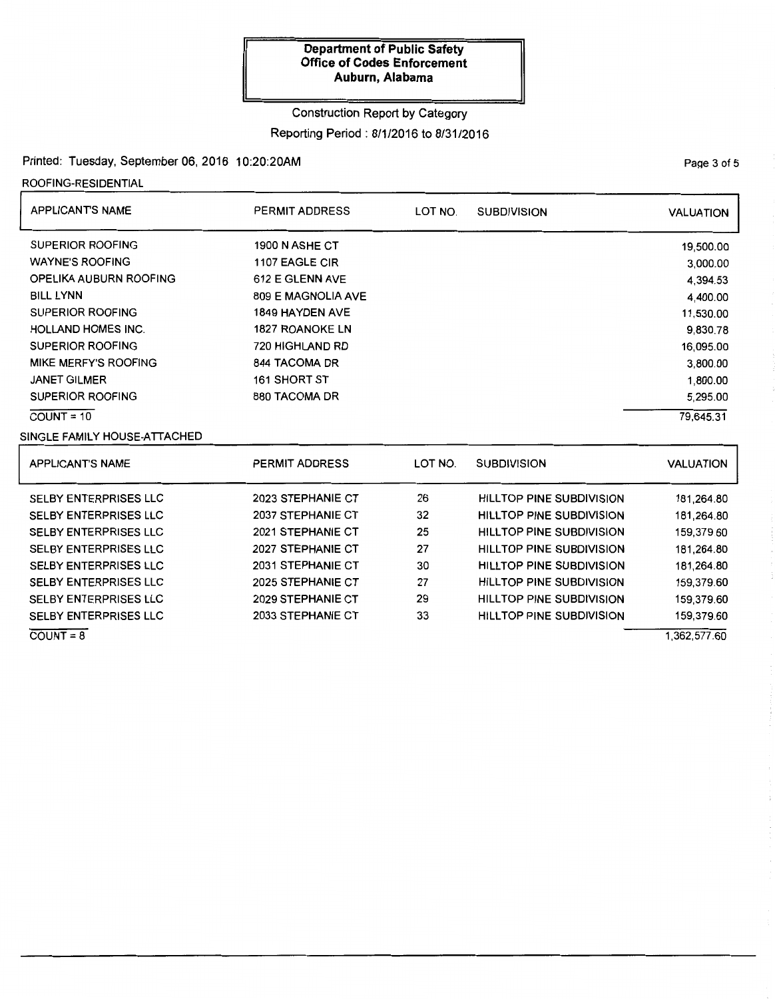## Construction Report by Category

## Reporting Period: 8/1/2016 to 8/31/2016

# Printed: Tuesday, September 06, 2016 10:20:20AM

ROOFING-RESIDENTIAL

| <b>APPLICANTS NAME</b>       | PERMIT ADDRESS         | LOT NO. | <b>SUBDIVISION</b> | <b>VALUATION</b> |
|------------------------------|------------------------|---------|--------------------|------------------|
| <b>SUPERIOR ROOFING</b>      | 1900 N ASHE CT         |         |                    | 19,500.00        |
| <b>WAYNE'S ROOFING</b>       | 1107 EAGLE CIR         |         |                    | 3,000.00         |
| OPELIKA AUBURN ROOFING       | 612 E GLENN AVE        |         |                    | 4.394.53         |
| <b>BILL LYNN</b>             | 809 E MAGNOLIA AVE     |         |                    | 4,400.00         |
| <b>SUPERIOR ROOFING</b>      | <b>1849 HAYDEN AVE</b> |         |                    | 11,530.00        |
| <b>HOLLAND HOMES INC.</b>    | <b>1827 ROANOKE LN</b> |         |                    | 9,830.78         |
| SUPERIOR ROOFING             | 720 HIGHLAND RD        |         |                    | 16,095.00        |
| MIKE MERFY'S ROOFING         | 844 TACOMA DR          |         |                    | 3,800.00         |
| <b>JANET GILMER</b>          | 161 SHORT ST           |         |                    | 1,800.00         |
| SUPERIOR ROOFING             | 880 TACOMA DR          |         |                    | 5,295.00         |
| $COUNT = 10$                 |                        |         |                    | 79,645.31        |
| SINGLE FAMILY HOUSE-ATTACHED |                        |         |                    |                  |

| <b>APPLICANT'S NAME</b>      | <b>PERMIT ADDRESS</b>    | LOT NO. | <b>SUBDIVISION</b>              | VALUATION  |
|------------------------------|--------------------------|---------|---------------------------------|------------|
| <b>SELBY ENTERPRISES LLC</b> | 2023 STEPHANIE CT        | 26      | <b>HILLTOP PINE SUBDIVISION</b> | 181,264.80 |
| <b>SELBY ENTERPRISES LLC</b> | 2037 STEPHANIE CT        | 32      | <b>HILLTOP PINE SUBDIVISION</b> | 181,264.80 |
| <b>SELBY ENTERPRISES LLC</b> | 2021 STEPHANIE CT        | 25      | <b>HILLTOP PINE SUBDIVISION</b> | 159,379.60 |
| <b>SELBY ENTERPRISES LLC</b> | 2027 STEPHANIE CT        | 27      | <b>HILLTOP PINE SUBDIVISION</b> | 181,264.80 |
| <b>SELBY ENTERPRISES LLC</b> | 2031 STEPHANIE CT        | 30      | <b>HILLTOP PINE SUBDIVISION</b> | 181.264.80 |
| <b>SELBY ENTERPRISES LLC</b> | 2025 STEPHANIE CT        | 27      | <b>HILLTOP PINE SUBDIVISION</b> | 159,379.60 |
| <b>SELBY ENTERPRISES LLC</b> | 2029 STEPHANIE CT        | 29      | <b>HILLTOP PINE SUBDIVISION</b> | 159,379.60 |
| <b>SELBY ENTERPRISES LLC</b> | <b>2033 STEPHANIE CT</b> | 33      | <b>HILLTOP PINE SUBDIVISION</b> | 159,379.60 |
| $COUNT = 8$                  |                          |         |                                 | 362,577.60 |

PaQe 3 of 5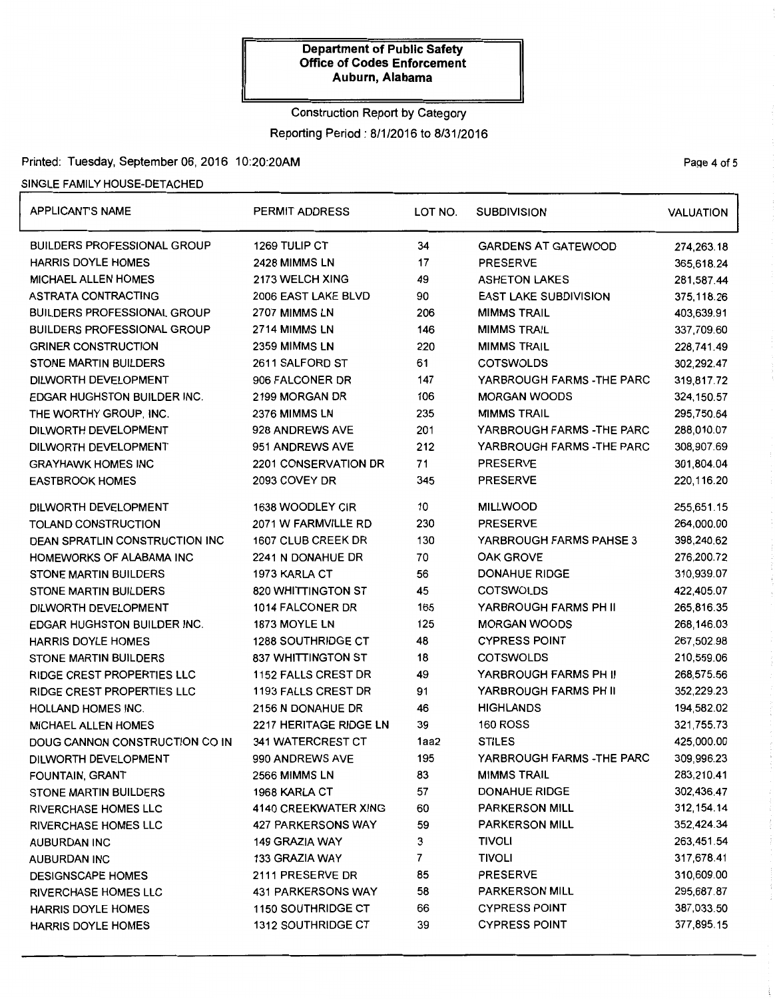# Construction Report by Category Reporting Period: 8/1/2016 to 8/31/2016

### Printed: Tuesday, September 06, 2016 10:20:20AM Page 4 of 5

# SINGLE FAMILY HOUSE-DETACHED

| <b>APPLICANT'S NAME</b>               | <b>PERMIT ADDRESS</b>      | LOT NO. | <b>SUBDIVISION</b>           | <b>VALUATION</b> |
|---------------------------------------|----------------------------|---------|------------------------------|------------------|
| BUILDERS PROFESSIONAL GROUP           | 1269 TULIP CT              | 34      | <b>GARDENS AT GATEWOOD</b>   | 274,263.18       |
| <b>HARRIS DOYLE HOMES</b>             | 2428 MIMMS LN              | 17      | <b>PRESERVE</b>              | 365,618.24       |
| <b>MICHAEL ALLEN HOMES</b>            | 2173 WELCH XING            | 49      | <b>ASHETON LAKES</b>         | 281,587.44       |
| ASTRATA CONTRACTING                   | 2006 EAST LAKE BLVD        | 90      | <b>EAST LAKE SUBDIVISION</b> | 375,118.26       |
| <b>BUILDERS PROFESSIONAL GROUP</b>    | 2707 MIMMS LN              | 206     | <b>MIMMS TRAIL</b>           | 403,639.91       |
| <b>BUILDERS PROFESSIONAL GROUP</b>    | <b>2714 MIMMS LN</b>       | 146     | <b>MIMMS TRAIL</b>           | 337,709.60       |
| <b>GRINER CONSTRUCTION</b>            | 2359 MIMMS LN              | 220     | <b>MIMMS TRAIL</b>           | 228,741.49       |
| <b>STONE MARTIN BUILDERS</b>          | 2611 SALFORD ST            | 61      | <b>COTSWOLDS</b>             | 302,292.47       |
| DILWORTH DEVELOPMENT                  | 906 FALCONER DR            | 147     | YARBROUGH FARMS -THE PARC    | 319,817.72       |
| <b>EDGAR HUGHSTON BUILDER INC.</b>    | 2199 MORGAN DR             | 106     | <b>MORGAN WOODS</b>          | 324, 150.57      |
| THE WORTHY GROUP, INC.                | 2376 MIMMS LN              | 235     | <b>MIMMS TRAIL</b>           | 295,750.64       |
| DILWORTH DEVELOPMENT                  | 928 ANDREWS AVE            | 201     | YARBROUGH FARMS - THE PARC   | 288,010.07       |
| DILWORTH DEVELOPMENT                  | 951 ANDREWS AVE            | 212     | YARBROUGH FARMS - THE PARC   | 308,907.69       |
| <b>GRAYHAWK HOMES INC</b>             | 2201 CONSERVATION DR       | 71      | <b>PRESERVE</b>              | 301,804.04       |
| <b>EASTBROOK HOMES</b>                | 2093 COVEY DR              | 345     | <b>PRESERVE</b>              | 220,116.20       |
| DILWORTH DEVELOPMENT                  | 1638 WOODLEY CIR           | 10      | <b>MILLWOOD</b>              | 255,651.15       |
| TOLAND CONSTRUCTION                   | 2071 W FARMVILLE RD        | 230     | <b>PRESERVE</b>              | 264,000.00       |
| <b>DEAN SPRATLIN CONSTRUCTION INC</b> | 1607 CLUB CREEK DR         | 130     | YARBROUGH FARMS PAHSE 3      | 398,240.62       |
| HOMEWORKS OF ALABAMA INC              | 2241 N DONAHUE DR          | 70      | OAK GROVE                    | 276,200.72       |
| STONE MARTIN BUILDERS                 | 1973 KARLA CT              | 56      | <b>DONAHUE RIDGE</b>         | 310,939.07       |
| <b>STONE MARTIN BUILDERS</b>          | 820 WHITTINGTON ST         | 45      | <b>COTSWOLDS</b>             | 422,405.07       |
| DILWORTH DEVELOPMENT                  | 1014 FALCONER DR           | 165     | YARBROUGH FARMS PH II        | 265,816.35       |
| <b>EDGAR HUGHSTON BUILDER INC.</b>    | 1873 MOYLE LN              | 125     | <b>MORGAN WOODS</b>          | 268,146.03       |
| <b>HARRIS DOYLE HOMES</b>             | <b>1288 SOUTHRIDGE CT</b>  | 48      | <b>CYPRESS POINT</b>         | 267,502.98       |
| <b>STONE MARTIN BUILDERS</b>          | 837 WHITTINGTON ST         | 18      | <b>COTSWOLDS</b>             | 210,559.06       |
| <b>RIDGE CREST PROPERTIES LLC</b>     | <b>1152 FALLS CREST DR</b> | 49      | YARBROUGH FARMS PH II        | 268,575.56       |
| RIDGE CREST PROPERTIES LLC            | <b>1193 FALLS CREST DR</b> | 91      | YARBROUGH FARMS PH II        | 352,229.23       |
| HOLLAND HOMES INC.                    | 2156 N DONAHUE DR          | 46      | <b>HIGHLANDS</b>             | 194,582.02       |
| <b>MICHAEL ALLEN HOMES</b>            | 2217 HERITAGE RIDGE LN     | 39      | <b>160 ROSS</b>              | 321,755.73       |
| DOUG CANNON CONSTRUCTION CO IN        | <b>341 WATERCREST CT</b>   | 1aa2    | <b>STILES</b>                | 425,000.00       |
| DILWORTH DEVELOPMENT                  | 990 ANDREWS AVE            | 195     | YARBROUGH FARMS -THE PARC    | 309,996.23       |
| FOUNTAIN, GRANT                       | 2566 MIMMS LN              | 83      | <b>MIMMS TRAIL</b>           | 283,210.41       |
| <b>STONE MARTIN BUILDERS</b>          | 1968 KARLA CT              | 57      | <b>DONAHUE RIDGE</b>         | 302,436.47       |
| <b>RIVERCHASE HOMES LLC</b>           | 4140 CREEKWATER XING       | 60      | <b>PARKERSON MILL</b>        | 312, 154.14      |
| RIVERCHASE HOMES LLC                  | 427 PARKERSONS WAY         | 59      | <b>PARKERSON MILL</b>        | 352,424.34       |
| <b>AUBURDAN INC</b>                   | 149 GRAZIA WAY             | 3       | <b>TIVOLI</b>                | 263,451.54       |
| <b>AUBURDAN INC</b>                   | 133 GRAZIA WAY             | 7       | <b>TIVOLI</b>                | 317,678.41       |
| <b>DESIGNSCAPE HOMES</b>              | 2111 PRESERVE DR           | 85      | <b>PRESERVE</b>              | 310,609.00       |
| <b>RIVERCHASE HOMES LLC</b>           | <b>431 PARKERSONS WAY</b>  | 58      | <b>PARKERSON MILL</b>        | 295,687.87       |
| <b>HARRIS DOYLE HOMES</b>             | <b>1150 SOUTHRIDGE CT</b>  | 66      | <b>CYPRESS POINT</b>         | 387,033.50       |
| HARRIS DOYLE HOMES                    | <b>1312 SOUTHRIDGE CT</b>  | 39      | <b>CYPRESS POINT</b>         | 377,895.15       |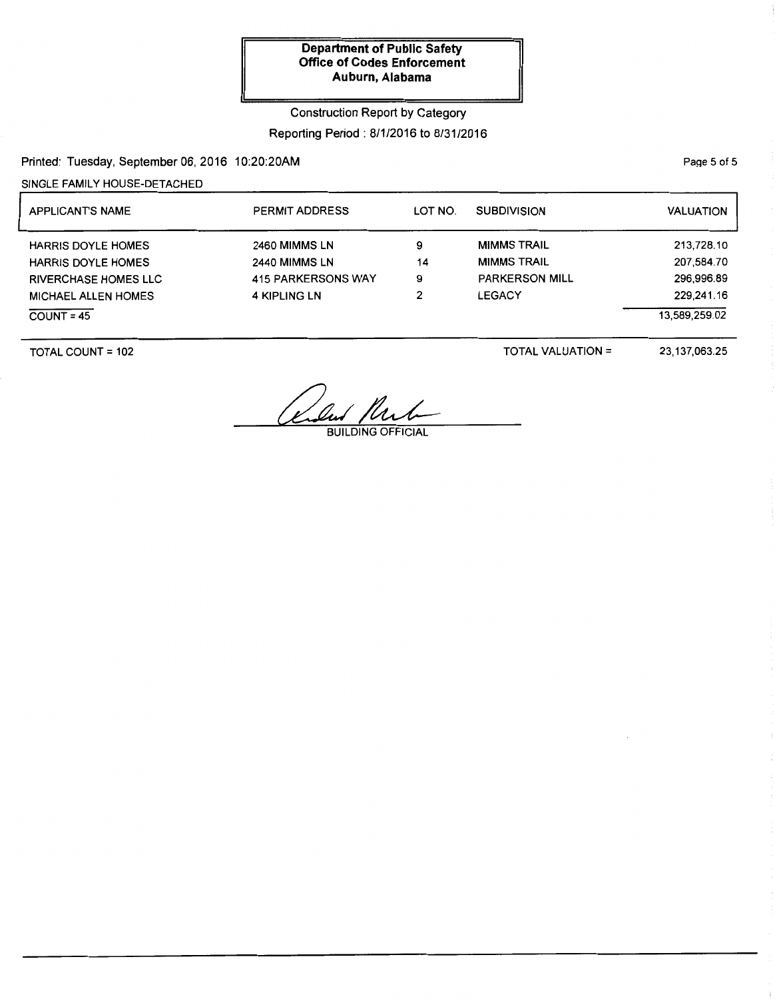## Construction Report by Category

### Reporting Period: 8/1/2016 to 8/31/2016

Printed: Tuesday, September 06, 2016 10:20:20AM

SINGLE FAMILY HOUSE-DETACHED

| <b>APPLICANTS NAME</b>      | <b>PERMIT ADDRESS</b> | LOT NO. | <b>SUBDIVISION</b>    | <b>VALUATION</b> |
|-----------------------------|-----------------------|---------|-----------------------|------------------|
| <b>HARRIS DOYLE HOMES</b>   | 2460 MIMMS LN         | 9       | <b>MIMMS TRAIL</b>    | 213,728.10       |
| <b>HARRIS DOYLE HOMES</b>   | 2440 MIMMS LN         | 14      | <b>MIMMS TRAIL</b>    | 207,584.70       |
| <b>RIVERCHASE HOMES LLC</b> | 415 PARKERSONS WAY    | 9       | <b>PARKERSON MILL</b> | 296.996.89       |
| <b>MICHAEL ALLEN HOMES</b>  | <b>4 KIPLING LN</b>   | 2       | <b>LEGACY</b>         | 229,241.16       |
| $COUNT = 45$                |                       |         |                       | 13.589.259.02    |

TOTAL COUNT= 102

TOTAL VALUATION=

23,137,063.25

Club Plub

PaQe 5 of 5